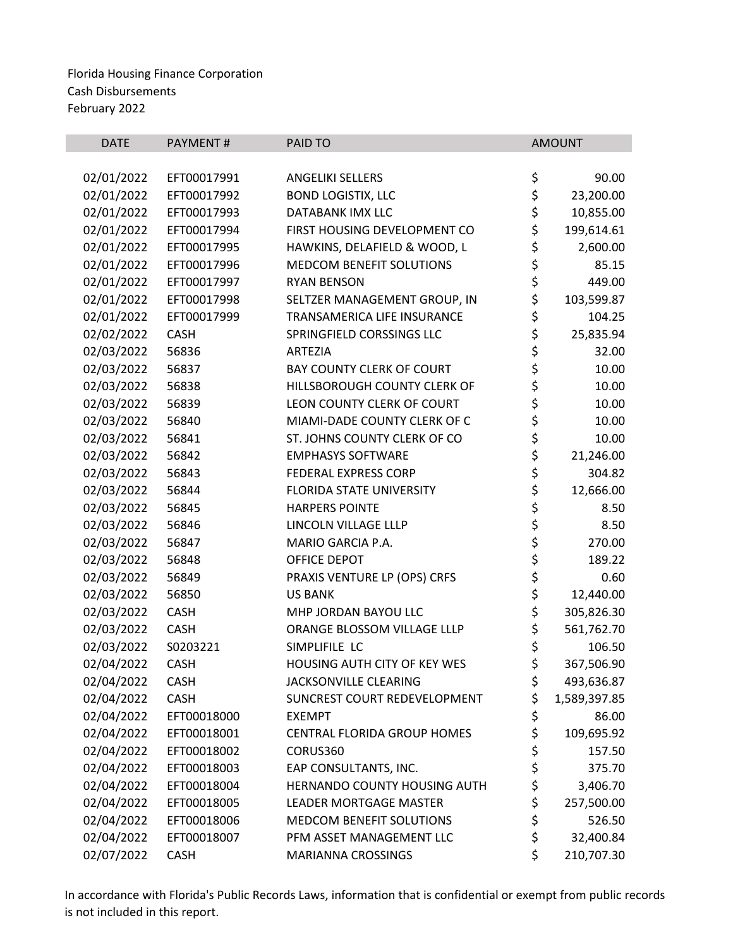| <b>DATE</b> | <b>PAYMENT#</b> | PAID TO                            |          | <b>AMOUNT</b> |
|-------------|-----------------|------------------------------------|----------|---------------|
|             |                 |                                    |          |               |
| 02/01/2022  | EFT00017991     | <b>ANGELIKI SELLERS</b>            | \$       | 90.00         |
| 02/01/2022  | EFT00017992     | <b>BOND LOGISTIX, LLC</b>          | \$       | 23,200.00     |
| 02/01/2022  | EFT00017993     | DATABANK IMX LLC                   | \$       | 10,855.00     |
| 02/01/2022  | EFT00017994     | FIRST HOUSING DEVELOPMENT CO       | \$       | 199,614.61    |
| 02/01/2022  | EFT00017995     | HAWKINS, DELAFIELD & WOOD, L       | \$       | 2,600.00      |
| 02/01/2022  | EFT00017996     | <b>MEDCOM BENEFIT SOLUTIONS</b>    | \$       | 85.15         |
| 02/01/2022  | EFT00017997     | <b>RYAN BENSON</b>                 | \$       | 449.00        |
| 02/01/2022  | EFT00017998     | SELTZER MANAGEMENT GROUP, IN       | \$       | 103,599.87    |
| 02/01/2022  | EFT00017999     | TRANSAMERICA LIFE INSURANCE        | \$       | 104.25        |
| 02/02/2022  | <b>CASH</b>     | SPRINGFIELD CORSSINGS LLC          | \$       | 25,835.94     |
| 02/03/2022  | 56836           | <b>ARTEZIA</b>                     | \$       | 32.00         |
| 02/03/2022  | 56837           | <b>BAY COUNTY CLERK OF COURT</b>   | \$<br>\$ | 10.00         |
| 02/03/2022  | 56838           | HILLSBOROUGH COUNTY CLERK OF       |          | 10.00         |
| 02/03/2022  | 56839           | LEON COUNTY CLERK OF COURT         | \$       | 10.00         |
| 02/03/2022  | 56840           | MIAMI-DADE COUNTY CLERK OF C       | \$       | 10.00         |
| 02/03/2022  | 56841           | ST. JOHNS COUNTY CLERK OF CO       | \$       | 10.00         |
| 02/03/2022  | 56842           | <b>EMPHASYS SOFTWARE</b>           | \$       | 21,246.00     |
| 02/03/2022  | 56843           | <b>FEDERAL EXPRESS CORP</b>        | \$       | 304.82        |
| 02/03/2022  | 56844           | <b>FLORIDA STATE UNIVERSITY</b>    | \$       | 12,666.00     |
| 02/03/2022  | 56845           | <b>HARPERS POINTE</b>              | \$<br>\$ | 8.50          |
| 02/03/2022  | 56846           | LINCOLN VILLAGE LLLP               |          | 8.50          |
| 02/03/2022  | 56847           | MARIO GARCIA P.A.                  | \$       | 270.00        |
| 02/03/2022  | 56848           | <b>OFFICE DEPOT</b>                | \$       | 189.22        |
| 02/03/2022  | 56849           | PRAXIS VENTURE LP (OPS) CRFS       | \$       | 0.60          |
| 02/03/2022  | 56850           | <b>US BANK</b>                     | \$       | 12,440.00     |
| 02/03/2022  | <b>CASH</b>     | MHP JORDAN BAYOU LLC               | \$       | 305,826.30    |
| 02/03/2022  | CASH            | ORANGE BLOSSOM VILLAGE LLLP        | \$       | 561,762.70    |
| 02/03/2022  | S0203221        | SIMPLIFILE LC                      | \$       | 106.50        |
| 02/04/2022  | <b>CASH</b>     | HOUSING AUTH CITY OF KEY WES       | \$       | 367,506.90    |
| 02/04/2022  | <b>CASH</b>     | <b>JACKSONVILLE CLEARING</b>       | \$       | 493,636.87    |
| 02/04/2022  | <b>CASH</b>     | SUNCREST COURT REDEVELOPMENT       | \$       | 1,589,397.85  |
| 02/04/2022  | EFT00018000     | <b>EXEMPT</b>                      | \$       | 86.00         |
| 02/04/2022  | EFT00018001     | <b>CENTRAL FLORIDA GROUP HOMES</b> | \$       | 109,695.92    |
| 02/04/2022  | EFT00018002     | CORUS360                           | \$       | 157.50        |
| 02/04/2022  | EFT00018003     | EAP CONSULTANTS, INC.              | \$       | 375.70        |
| 02/04/2022  | EFT00018004     | HERNANDO COUNTY HOUSING AUTH       | \$       | 3,406.70      |
| 02/04/2022  | EFT00018005     | <b>LEADER MORTGAGE MASTER</b>      | \$       | 257,500.00    |
| 02/04/2022  | EFT00018006     | MEDCOM BENEFIT SOLUTIONS           | \$       | 526.50        |
| 02/04/2022  | EFT00018007     | PFM ASSET MANAGEMENT LLC           | \$       | 32,400.84     |
| 02/07/2022  | <b>CASH</b>     | <b>MARIANNA CROSSINGS</b>          | \$       | 210,707.30    |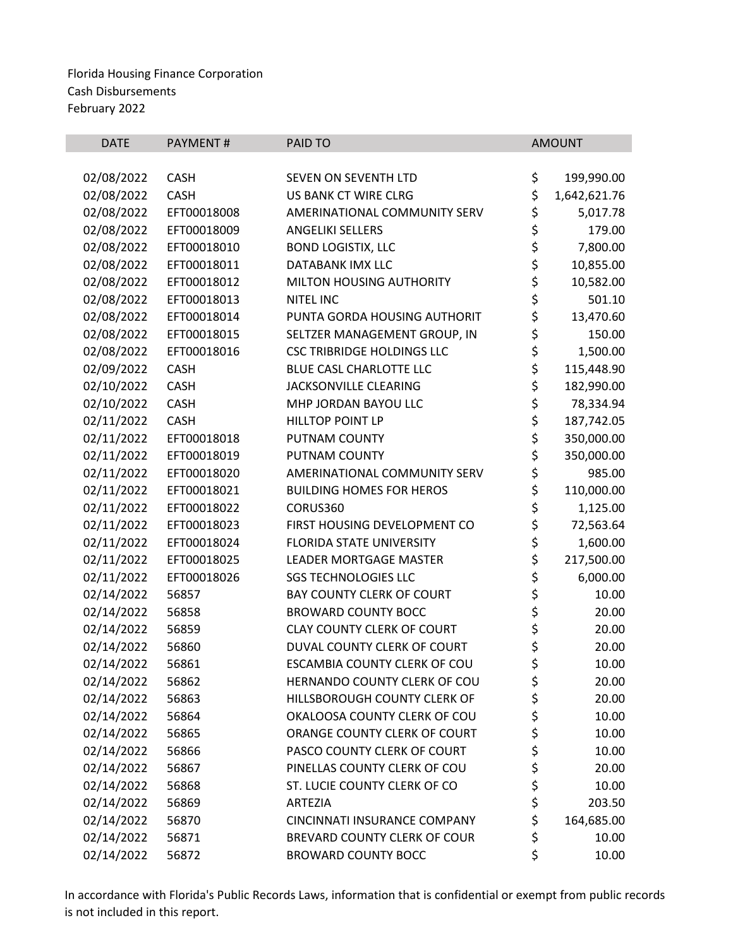| <b>DATE</b> | <b>PAYMENT#</b> | PAID TO                             | <b>AMOUNT</b>      |
|-------------|-----------------|-------------------------------------|--------------------|
|             |                 |                                     |                    |
| 02/08/2022  | <b>CASH</b>     | SEVEN ON SEVENTH LTD                | \$<br>199,990.00   |
| 02/08/2022  | <b>CASH</b>     | US BANK CT WIRE CLRG                | \$<br>1,642,621.76 |
| 02/08/2022  | EFT00018008     | AMERINATIONAL COMMUNITY SERV        | \$<br>5,017.78     |
| 02/08/2022  | EFT00018009     | ANGELIKI SELLERS                    | \$<br>179.00       |
| 02/08/2022  | EFT00018010     | <b>BOND LOGISTIX, LLC</b>           | \$<br>7,800.00     |
| 02/08/2022  | EFT00018011     | DATABANK IMX LLC                    | \$<br>10,855.00    |
| 02/08/2022  | EFT00018012     | MILTON HOUSING AUTHORITY            | \$<br>10,582.00    |
| 02/08/2022  | EFT00018013     | <b>NITEL INC</b>                    | \$<br>501.10       |
| 02/08/2022  | EFT00018014     | PUNTA GORDA HOUSING AUTHORIT        | \$<br>13,470.60    |
| 02/08/2022  | EFT00018015     | SELTZER MANAGEMENT GROUP, IN        | \$<br>150.00       |
| 02/08/2022  | EFT00018016     | <b>CSC TRIBRIDGE HOLDINGS LLC</b>   | \$<br>1,500.00     |
| 02/09/2022  | <b>CASH</b>     | BLUE CASL CHARLOTTE LLC             | \$<br>115,448.90   |
| 02/10/2022  | <b>CASH</b>     | JACKSONVILLE CLEARING               | \$<br>182,990.00   |
| 02/10/2022  | <b>CASH</b>     | MHP JORDAN BAYOU LLC                | \$<br>78,334.94    |
| 02/11/2022  | <b>CASH</b>     | <b>HILLTOP POINT LP</b>             | \$<br>187,742.05   |
| 02/11/2022  | EFT00018018     | PUTNAM COUNTY                       | \$<br>350,000.00   |
| 02/11/2022  | EFT00018019     | PUTNAM COUNTY                       | \$<br>350,000.00   |
| 02/11/2022  | EFT00018020     | AMERINATIONAL COMMUNITY SERV        | \$<br>985.00       |
| 02/11/2022  | EFT00018021     | <b>BUILDING HOMES FOR HEROS</b>     | \$<br>110,000.00   |
| 02/11/2022  | EFT00018022     | CORUS360                            | \$<br>1,125.00     |
| 02/11/2022  | EFT00018023     | FIRST HOUSING DEVELOPMENT CO        | \$<br>72,563.64    |
| 02/11/2022  | EFT00018024     | <b>FLORIDA STATE UNIVERSITY</b>     | \$<br>1,600.00     |
| 02/11/2022  | EFT00018025     | <b>LEADER MORTGAGE MASTER</b>       | \$<br>217,500.00   |
| 02/11/2022  | EFT00018026     | <b>SGS TECHNOLOGIES LLC</b>         | \$<br>6,000.00     |
| 02/14/2022  | 56857           | <b>BAY COUNTY CLERK OF COURT</b>    | \$<br>10.00        |
| 02/14/2022  | 56858           | <b>BROWARD COUNTY BOCC</b>          | \$<br>20.00        |
| 02/14/2022  | 56859           | <b>CLAY COUNTY CLERK OF COURT</b>   | \$<br>20.00        |
| 02/14/2022  | 56860           | DUVAL COUNTY CLERK OF COURT         | \$<br>20.00        |
| 02/14/2022  | 56861           | <b>ESCAMBIA COUNTY CLERK OF COU</b> | \$<br>10.00        |
| 02/14/2022  | 56862           | HERNANDO COUNTY CLERK OF COU        | \$<br>20.00        |
| 02/14/2022  | 56863           | HILLSBOROUGH COUNTY CLERK OF        | \$<br>20.00        |
| 02/14/2022  | 56864           | OKALOOSA COUNTY CLERK OF COU        | \$<br>10.00        |
| 02/14/2022  | 56865           | ORANGE COUNTY CLERK OF COURT        | \$<br>10.00        |
| 02/14/2022  | 56866           | PASCO COUNTY CLERK OF COURT         | \$<br>10.00        |
| 02/14/2022  | 56867           | PINELLAS COUNTY CLERK OF COU        | \$<br>20.00        |
| 02/14/2022  | 56868           | ST. LUCIE COUNTY CLERK OF CO        | \$<br>10.00        |
| 02/14/2022  | 56869           | <b>ARTEZIA</b>                      | \$<br>203.50       |
| 02/14/2022  | 56870           | CINCINNATI INSURANCE COMPANY        | \$<br>164,685.00   |
| 02/14/2022  | 56871           | BREVARD COUNTY CLERK OF COUR        | \$<br>10.00        |
| 02/14/2022  | 56872           | <b>BROWARD COUNTY BOCC</b>          | \$<br>10.00        |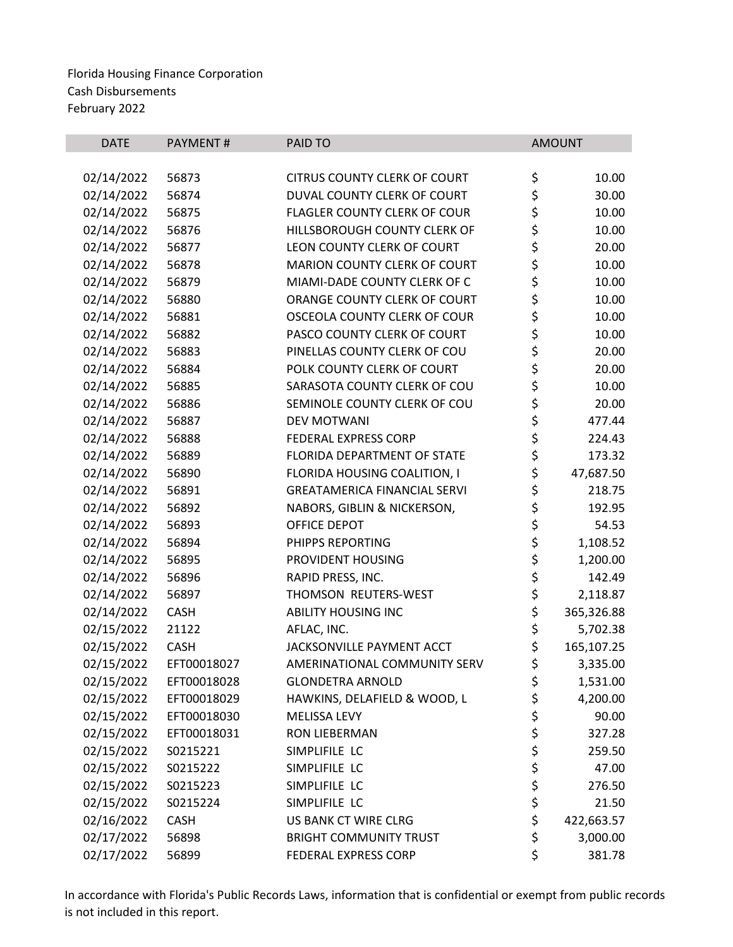| <b>DATE</b> | <b>PAYMENT#</b> | <b>PAID TO</b>                      |          | <b>AMOUNT</b> |
|-------------|-----------------|-------------------------------------|----------|---------------|
|             |                 |                                     |          |               |
| 02/14/2022  | 56873           | <b>CITRUS COUNTY CLERK OF COURT</b> | \$       | 10.00         |
| 02/14/2022  | 56874           | DUVAL COUNTY CLERK OF COURT         | \$       | 30.00         |
| 02/14/2022  | 56875           | FLAGLER COUNTY CLERK OF COUR        | \$       | 10.00         |
| 02/14/2022  | 56876           | HILLSBOROUGH COUNTY CLERK OF        | \$       | 10.00         |
| 02/14/2022  | 56877           | LEON COUNTY CLERK OF COURT          | \$       | 20.00         |
| 02/14/2022  | 56878           | <b>MARION COUNTY CLERK OF COURT</b> | \$       | 10.00         |
| 02/14/2022  | 56879           | MIAMI-DADE COUNTY CLERK OF C        | \$       | 10.00         |
| 02/14/2022  | 56880           | ORANGE COUNTY CLERK OF COURT        | \$       | 10.00         |
| 02/14/2022  | 56881           | OSCEOLA COUNTY CLERK OF COUR        | \$       | 10.00         |
| 02/14/2022  | 56882           | PASCO COUNTY CLERK OF COURT         | \$       | 10.00         |
| 02/14/2022  | 56883           | PINELLAS COUNTY CLERK OF COU        | \$       | 20.00         |
| 02/14/2022  | 56884           | POLK COUNTY CLERK OF COURT          | \$<br>\$ | 20.00         |
| 02/14/2022  | 56885           | SARASOTA COUNTY CLERK OF COU        |          | 10.00         |
| 02/14/2022  | 56886           | SEMINOLE COUNTY CLERK OF COU        | \$       | 20.00         |
| 02/14/2022  | 56887           | <b>DEV MOTWANI</b>                  | \$       | 477.44        |
| 02/14/2022  | 56888           | <b>FEDERAL EXPRESS CORP</b>         | \$       | 224.43        |
| 02/14/2022  | 56889           | FLORIDA DEPARTMENT OF STATE         | \$<br>\$ | 173.32        |
| 02/14/2022  | 56890           | FLORIDA HOUSING COALITION, I        |          | 47,687.50     |
| 02/14/2022  | 56891           | <b>GREATAMERICA FINANCIAL SERVI</b> | \$       | 218.75        |
| 02/14/2022  | 56892           | NABORS, GIBLIN & NICKERSON,         | \$       | 192.95        |
| 02/14/2022  | 56893           | <b>OFFICE DEPOT</b>                 | \$       | 54.53         |
| 02/14/2022  | 56894           | PHIPPS REPORTING                    |          | 1,108.52      |
| 02/14/2022  | 56895           | PROVIDENT HOUSING                   | \$<br>\$ | 1,200.00      |
| 02/14/2022  | 56896           | RAPID PRESS, INC.                   | \$       | 142.49        |
| 02/14/2022  | 56897           | THOMSON REUTERS-WEST                | \$       | 2,118.87      |
| 02/14/2022  | <b>CASH</b>     | <b>ABILITY HOUSING INC</b>          | \$       | 365,326.88    |
| 02/15/2022  | 21122           | AFLAC, INC.                         | \$       | 5,702.38      |
| 02/15/2022  | <b>CASH</b>     | <b>JACKSONVILLE PAYMENT ACCT</b>    | \$       | 165,107.25    |
| 02/15/2022  | EFT00018027     | AMERINATIONAL COMMUNITY SERV        | \$       | 3,335.00      |
| 02/15/2022  | EFT00018028     | <b>GLONDETRA ARNOLD</b>             | \$       | 1,531.00      |
| 02/15/2022  | EFT00018029     | HAWKINS, DELAFIELD & WOOD, L        | \$       | 4,200.00      |
| 02/15/2022  | EFT00018030     | <b>MELISSA LEVY</b>                 | \$       | 90.00         |
| 02/15/2022  | EFT00018031     | <b>RON LIEBERMAN</b>                |          | 327.28        |
| 02/15/2022  | S0215221        | SIMPLIFILE LC                       |          | 259.50        |
| 02/15/2022  | S0215222        | SIMPLIFILE LC                       | ららら      | 47.00         |
| 02/15/2022  | S0215223        | SIMPLIFILE LC                       |          | 276.50        |
| 02/15/2022  | S0215224        | SIMPLIFILE LC                       | \$<br>\$ | 21.50         |
| 02/16/2022  | CASH            | <b>US BANK CT WIRE CLRG</b>         | \$       | 422,663.57    |
| 02/17/2022  | 56898           | <b>BRIGHT COMMUNITY TRUST</b>       | \$       | 3,000.00      |
| 02/17/2022  | 56899           | FEDERAL EXPRESS CORP                | \$       | 381.78        |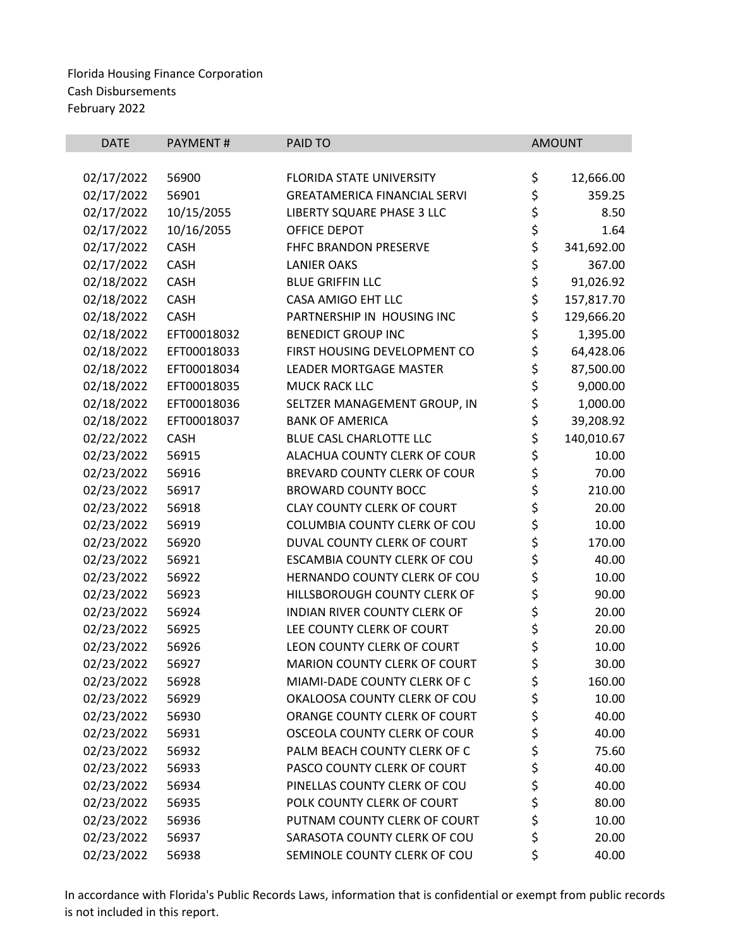| <b>DATE</b> | <b>PAYMENT#</b> | PAID TO                             |          | <b>AMOUNT</b> |
|-------------|-----------------|-------------------------------------|----------|---------------|
|             |                 |                                     |          |               |
| 02/17/2022  | 56900           | <b>FLORIDA STATE UNIVERSITY</b>     | \$       | 12,666.00     |
| 02/17/2022  | 56901           | <b>GREATAMERICA FINANCIAL SERVI</b> | \$       | 359.25        |
| 02/17/2022  | 10/15/2055      | LIBERTY SQUARE PHASE 3 LLC          | \$       | 8.50          |
| 02/17/2022  | 10/16/2055      | OFFICE DEPOT                        | \$       | 1.64          |
| 02/17/2022  | <b>CASH</b>     | <b>FHFC BRANDON PRESERVE</b>        | \$       | 341,692.00    |
| 02/17/2022  | <b>CASH</b>     | <b>LANIER OAKS</b>                  | \$       | 367.00        |
| 02/18/2022  | CASH            | <b>BLUE GRIFFIN LLC</b>             | \$       | 91,026.92     |
| 02/18/2022  | <b>CASH</b>     | CASA AMIGO EHT LLC                  | \$       | 157,817.70    |
| 02/18/2022  | <b>CASH</b>     | PARTNERSHIP IN HOUSING INC          | \$       | 129,666.20    |
| 02/18/2022  | EFT00018032     | <b>BENEDICT GROUP INC</b>           | \$       | 1,395.00      |
| 02/18/2022  | EFT00018033     | FIRST HOUSING DEVELOPMENT CO        | \$       | 64,428.06     |
| 02/18/2022  | EFT00018034     | <b>LEADER MORTGAGE MASTER</b>       | \$       | 87,500.00     |
| 02/18/2022  | EFT00018035     | <b>MUCK RACK LLC</b>                | \$       | 9,000.00      |
| 02/18/2022  | EFT00018036     | SELTZER MANAGEMENT GROUP, IN        | \$       | 1,000.00      |
| 02/18/2022  | EFT00018037     | <b>BANK OF AMERICA</b>              | \$       | 39,208.92     |
| 02/22/2022  | <b>CASH</b>     | BLUE CASL CHARLOTTE LLC             | \$       | 140,010.67    |
| 02/23/2022  | 56915           | ALACHUA COUNTY CLERK OF COUR        | \$       | 10.00         |
| 02/23/2022  | 56916           | BREVARD COUNTY CLERK OF COUR        | \$       | 70.00         |
| 02/23/2022  | 56917           | <b>BROWARD COUNTY BOCC</b>          | \$       | 210.00        |
| 02/23/2022  | 56918           | <b>CLAY COUNTY CLERK OF COURT</b>   | \$       | 20.00         |
| 02/23/2022  | 56919           | COLUMBIA COUNTY CLERK OF COU        | \$       | 10.00         |
| 02/23/2022  | 56920           | DUVAL COUNTY CLERK OF COURT         | \$       | 170.00        |
| 02/23/2022  | 56921           | ESCAMBIA COUNTY CLERK OF COU        | \$       | 40.00         |
| 02/23/2022  | 56922           | HERNANDO COUNTY CLERK OF COU        | \$       | 10.00         |
| 02/23/2022  | 56923           | HILLSBOROUGH COUNTY CLERK OF        | \$       | 90.00         |
| 02/23/2022  | 56924           | INDIAN RIVER COUNTY CLERK OF        | \$       | 20.00         |
| 02/23/2022  | 56925           | LEE COUNTY CLERK OF COURT           | \$       | 20.00         |
| 02/23/2022  | 56926           | LEON COUNTY CLERK OF COURT          | \$       | 10.00         |
| 02/23/2022  | 56927           | <b>MARION COUNTY CLERK OF COURT</b> | \$       | 30.00         |
| 02/23/2022  | 56928           | MIAMI-DADE COUNTY CLERK OF C        | \$       | 160.00        |
| 02/23/2022  | 56929           | OKALOOSA COUNTY CLERK OF COU        | \$       | 10.00         |
| 02/23/2022  | 56930           | ORANGE COUNTY CLERK OF COURT        | \$       | 40.00         |
| 02/23/2022  | 56931           | OSCEOLA COUNTY CLERK OF COUR        | \$       | 40.00         |
| 02/23/2022  | 56932           | PALM BEACH COUNTY CLERK OF C        | \$<br>\$ | 75.60         |
| 02/23/2022  | 56933           | PASCO COUNTY CLERK OF COURT         |          | 40.00         |
| 02/23/2022  | 56934           | PINELLAS COUNTY CLERK OF COU        |          | 40.00         |
| 02/23/2022  | 56935           | POLK COUNTY CLERK OF COURT          | \$<br>\$ | 80.00         |
| 02/23/2022  | 56936           | PUTNAM COUNTY CLERK OF COURT        | \$       | 10.00         |
| 02/23/2022  | 56937           | SARASOTA COUNTY CLERK OF COU        | \$       | 20.00         |
| 02/23/2022  | 56938           | SEMINOLE COUNTY CLERK OF COU        | \$       | 40.00         |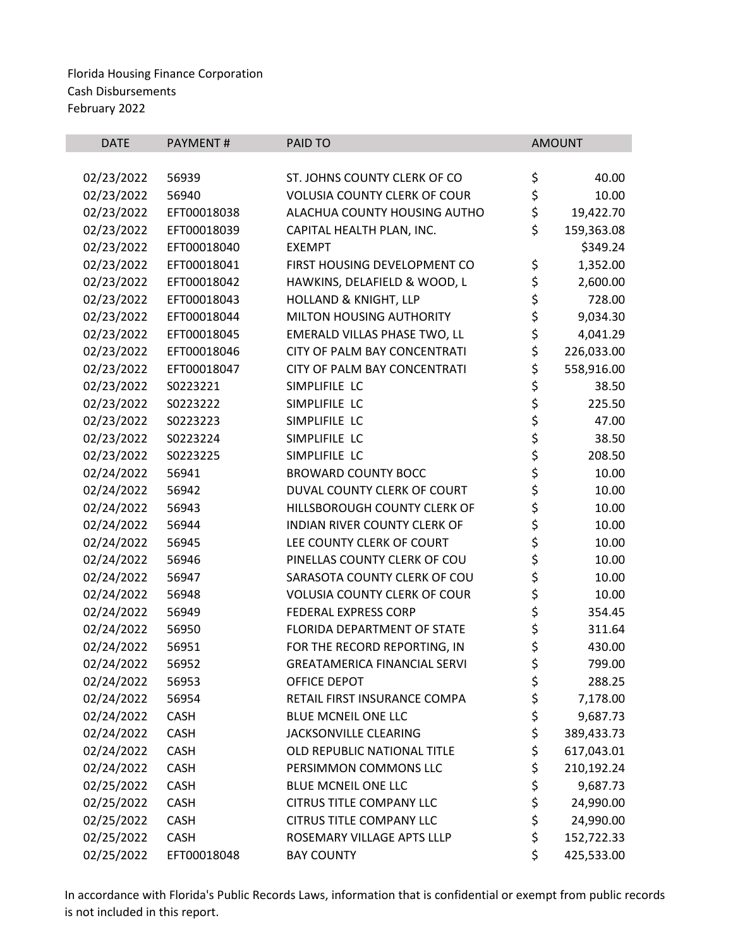| <b>DATE</b> | PAYMENT#    | <b>PAID TO</b>                      | <b>AMOUNT</b> |            |
|-------------|-------------|-------------------------------------|---------------|------------|
| 02/23/2022  | 56939       | ST. JOHNS COUNTY CLERK OF CO        | \$            | 40.00      |
| 02/23/2022  | 56940       | <b>VOLUSIA COUNTY CLERK OF COUR</b> | \$            | 10.00      |
| 02/23/2022  | EFT00018038 | ALACHUA COUNTY HOUSING AUTHO        | \$            | 19,422.70  |
| 02/23/2022  | EFT00018039 | CAPITAL HEALTH PLAN, INC.           | \$            | 159,363.08 |
| 02/23/2022  | EFT00018040 | <b>EXEMPT</b>                       |               | \$349.24   |
| 02/23/2022  | EFT00018041 | FIRST HOUSING DEVELOPMENT CO        | \$            | 1,352.00   |
| 02/23/2022  | EFT00018042 | HAWKINS, DELAFIELD & WOOD, L        | \$            | 2,600.00   |
| 02/23/2022  | EFT00018043 | <b>HOLLAND &amp; KNIGHT, LLP</b>    | \$            | 728.00     |
| 02/23/2022  | EFT00018044 | MILTON HOUSING AUTHORITY            | \$            | 9,034.30   |
| 02/23/2022  | EFT00018045 | EMERALD VILLAS PHASE TWO, LL        | \$            | 4,041.29   |
| 02/23/2022  | EFT00018046 | CITY OF PALM BAY CONCENTRATI        | \$            | 226,033.00 |
| 02/23/2022  | EFT00018047 | CITY OF PALM BAY CONCENTRATI        | \$            | 558,916.00 |
| 02/23/2022  | S0223221    | SIMPLIFILE LC                       | \$            | 38.50      |
| 02/23/2022  | S0223222    | SIMPLIFILE LC                       | \$            | 225.50     |
| 02/23/2022  | S0223223    | SIMPLIFILE LC                       | \$            | 47.00      |
| 02/23/2022  | S0223224    | SIMPLIFILE LC                       | \$            | 38.50      |
| 02/23/2022  | S0223225    | SIMPLIFILE LC                       | \$            | 208.50     |
| 02/24/2022  | 56941       | <b>BROWARD COUNTY BOCC</b>          | \$            | 10.00      |
| 02/24/2022  | 56942       | DUVAL COUNTY CLERK OF COURT         | \$            | 10.00      |
| 02/24/2022  | 56943       | HILLSBOROUGH COUNTY CLERK OF        | \$            | 10.00      |
| 02/24/2022  | 56944       | INDIAN RIVER COUNTY CLERK OF        | \$            | 10.00      |
| 02/24/2022  | 56945       | LEE COUNTY CLERK OF COURT           | \$            | 10.00      |
| 02/24/2022  | 56946       | PINELLAS COUNTY CLERK OF COU        | \$            | 10.00      |
| 02/24/2022  | 56947       | SARASOTA COUNTY CLERK OF COU        | \$            | 10.00      |
| 02/24/2022  | 56948       | <b>VOLUSIA COUNTY CLERK OF COUR</b> | \$            | 10.00      |
| 02/24/2022  | 56949       | <b>FEDERAL EXPRESS CORP</b>         | \$<br>\$      | 354.45     |
| 02/24/2022  | 56950       | FLORIDA DEPARTMENT OF STATE         |               | 311.64     |
| 02/24/2022  | 56951       | FOR THE RECORD REPORTING, IN        | \$            | 430.00     |
| 02/24/2022  | 56952       | <b>GREATAMERICA FINANCIAL SERVI</b> | \$            | 799.00     |
| 02/24/2022  | 56953       | OFFICE DEPOT                        | \$            | 288.25     |
| 02/24/2022  | 56954       | RETAIL FIRST INSURANCE COMPA        | \$            | 7,178.00   |
| 02/24/2022  | <b>CASH</b> | <b>BLUE MCNEIL ONE LLC</b>          | \$            | 9,687.73   |
| 02/24/2022  | <b>CASH</b> | JACKSONVILLE CLEARING               | \$            | 389,433.73 |
| 02/24/2022  | <b>CASH</b> | OLD REPUBLIC NATIONAL TITLE         | \$            | 617,043.01 |
| 02/24/2022  | <b>CASH</b> | PERSIMMON COMMONS LLC               | \$            | 210,192.24 |
| 02/25/2022  | <b>CASH</b> | BLUE MCNEIL ONE LLC                 | \$            | 9,687.73   |
| 02/25/2022  | CASH        | <b>CITRUS TITLE COMPANY LLC</b>     | \$            | 24,990.00  |
| 02/25/2022  | <b>CASH</b> | <b>CITRUS TITLE COMPANY LLC</b>     | \$            | 24,990.00  |
| 02/25/2022  | <b>CASH</b> | ROSEMARY VILLAGE APTS LLLP          | \$            | 152,722.33 |
| 02/25/2022  | EFT00018048 | <b>BAY COUNTY</b>                   | \$            | 425,533.00 |